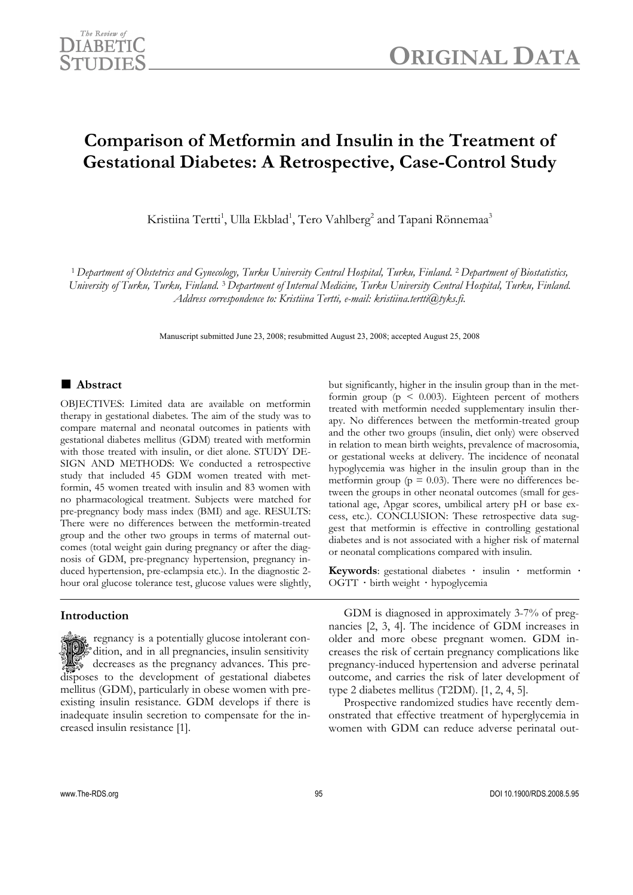

# **Comparison of Metformin and Insulin in the Treatment of Gestational Diabetes: A Retrospective, Case-Control Study**

Kristiina Tertti<sup>1</sup>, Ulla Ekblad<sup>1</sup>, Tero Vahlberg<sup>2</sup> and Tapani Rönnemaa<sup>3</sup>

<sup>1</sup> *Department of Obstetrics and Gynecology, Turku University Central Hospital, Turku, Finland.* 2 *Department of Biostatistics, University of Turku, Turku, Finland.* 3 *Department of Internal Medicine, Turku University Central Hospital, Turku, Finland. Address correspondence to: Kristiina Tertti, e-mail: kristiina.tertti@tyks.fi.* 

Manuscript submitted June 23, 2008; resubmitted August 23, 2008; accepted August 25, 2008

## ■ **Abstract**

OBJECTIVES: Limited data are available on metformin therapy in gestational diabetes. The aim of the study was to compare maternal and neonatal outcomes in patients with gestational diabetes mellitus (GDM) treated with metformin with those treated with insulin, or diet alone. STUDY DE-SIGN AND METHODS: We conducted a retrospective study that included 45 GDM women treated with metformin, 45 women treated with insulin and 83 women with no pharmacological treatment. Subjects were matched for pre-pregnancy body mass index (BMI) and age. RESULTS: There were no differences between the metformin-treated group and the other two groups in terms of maternal outcomes (total weight gain during pregnancy or after the diagnosis of GDM, pre-pregnancy hypertension, pregnancy induced hypertension, pre-eclampsia etc.). In the diagnostic 2 hour oral glucose tolerance test, glucose values were slightly,

## **Introduction**

 regnancy is a potentially glucose intolerant con-  $\ddot{\mathcal{F}}$  dition, and in all pregnancies, insulin sensitivity  $\mathcal{F}_\mathcal{P}$  decreases as the pregnancy advances. This predisposes to the development of gestational diabetes mellitus (GDM), particularly in obese women with preexisting insulin resistance. GDM develops if there is inadequate insulin secretion to compensate for the increased insulin resistance [1].

but significantly, higher in the insulin group than in the metformin group ( $p \leq 0.003$ ). Eighteen percent of mothers treated with metformin needed supplementary insulin therapy. No differences between the metformin-treated group and the other two groups (insulin, diet only) were observed in relation to mean birth weights, prevalence of macrosomia, or gestational weeks at delivery. The incidence of neonatal hypoglycemia was higher in the insulin group than in the metformin group ( $p = 0.03$ ). There were no differences between the groups in other neonatal outcomes (small for gestational age, Apgar scores, umbilical artery pH or base excess, etc.). CONCLUSION: These retrospective data suggest that metformin is effective in controlling gestational diabetes and is not associated with a higher risk of maternal or neonatal complications compared with insulin.

**Keywords**: gestational diabetes **·** insulin **·** metformin **·** OGTT **·** birth weight **·** hypoglycemia

GDM is diagnosed in approximately 3-7% of pregnancies [2, 3, 4]. The incidence of GDM increases in older and more obese pregnant women. GDM increases the risk of certain pregnancy complications like pregnancy-induced hypertension and adverse perinatal outcome, and carries the risk of later development of type 2 diabetes mellitus (T2DM). [1, 2, 4, 5].

Prospective randomized studies have recently demonstrated that effective treatment of hyperglycemia in women with GDM can reduce adverse perinatal out-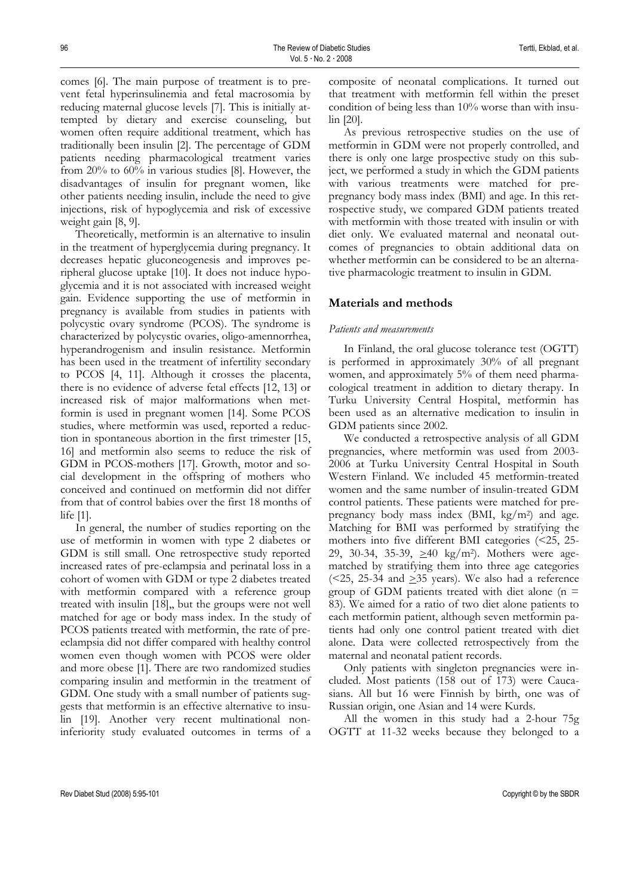comes [6]. The main purpose of treatment is to prevent fetal hyperinsulinemia and fetal macrosomia by reducing maternal glucose levels [7]. This is initially attempted by dietary and exercise counseling, but women often require additional treatment, which has traditionally been insulin [2]. The percentage of GDM patients needing pharmacological treatment varies from 20% to 60% in various studies [8]. However, the disadvantages of insulin for pregnant women, like other patients needing insulin, include the need to give injections, risk of hypoglycemia and risk of excessive weight gain [8, 9].

Theoretically, metformin is an alternative to insulin in the treatment of hyperglycemia during pregnancy. It decreases hepatic gluconeogenesis and improves peripheral glucose uptake [10]. It does not induce hypoglycemia and it is not associated with increased weight gain. Evidence supporting the use of metformin in pregnancy is available from studies in patients with polycystic ovary syndrome (PCOS). The syndrome is characterized by polycystic ovaries, oligo-amennorrhea, hyperandrogenism and insulin resistance. Metformin has been used in the treatment of infertility secondary to PCOS [4, 11]. Although it crosses the placenta, there is no evidence of adverse fetal effects [12, 13] or increased risk of major malformations when metformin is used in pregnant women [14]. Some PCOS studies, where metformin was used, reported a reduction in spontaneous abortion in the first trimester [15, 16] and metformin also seems to reduce the risk of GDM in PCOS-mothers [17]. Growth, motor and social development in the offspring of mothers who conceived and continued on metformin did not differ from that of control babies over the first 18 months of life [1].

In general, the number of studies reporting on the use of metformin in women with type 2 diabetes or GDM is still small. One retrospective study reported increased rates of pre-eclampsia and perinatal loss in a cohort of women with GDM or type 2 diabetes treated with metformin compared with a reference group treated with insulin [18],, but the groups were not well matched for age or body mass index. In the study of PCOS patients treated with metformin, the rate of preeclampsia did not differ compared with healthy control women even though women with PCOS were older and more obese [1]. There are two randomized studies comparing insulin and metformin in the treatment of GDM. One study with a small number of patients suggests that metformin is an effective alternative to insulin [19]. Another very recent multinational noninferiority study evaluated outcomes in terms of a

composite of neonatal complications. It turned out that treatment with metformin fell within the preset condition of being less than 10% worse than with insulin [20].

As previous retrospective studies on the use of metformin in GDM were not properly controlled, and there is only one large prospective study on this subject, we performed a study in which the GDM patients with various treatments were matched for prepregnancy body mass index (BMI) and age. In this retrospective study, we compared GDM patients treated with metformin with those treated with insulin or with diet only. We evaluated maternal and neonatal outcomes of pregnancies to obtain additional data on whether metformin can be considered to be an alternative pharmacologic treatment to insulin in GDM.

## **Materials and methods**

#### *Patients and measurements*

In Finland, the oral glucose tolerance test (OGTT) is performed in approximately 30% of all pregnant women, and approximately 5% of them need pharmacological treatment in addition to dietary therapy. In Turku University Central Hospital, metformin has been used as an alternative medication to insulin in GDM patients since 2002.

We conducted a retrospective analysis of all GDM pregnancies, where metformin was used from 2003- 2006 at Turku University Central Hospital in South Western Finland. We included 45 metformin-treated women and the same number of insulin-treated GDM control patients. These patients were matched for prepregnancy body mass index  $(BMI, kg/m^2)$  and age. Matching for BMI was performed by stratifying the mothers into five different BMI categories (<25, 25- 29, 30-34, 35-39,  $\geq 40$  kg/m<sup>2</sup>). Mothers were agematched by stratifying them into three age categories ( $\leq$ 25, 25-34 and  $\geq$ 35 years). We also had a reference group of GDM patients treated with diet alone  $(n =$ 83). We aimed for a ratio of two diet alone patients to each metformin patient, although seven metformin patients had only one control patient treated with diet alone. Data were collected retrospectively from the maternal and neonatal patient records.

Only patients with singleton pregnancies were included. Most patients (158 out of 173) were Caucasians. All but 16 were Finnish by birth, one was of Russian origin, one Asian and 14 were Kurds.

All the women in this study had a 2-hour 75g OGTT at 11-32 weeks because they belonged to a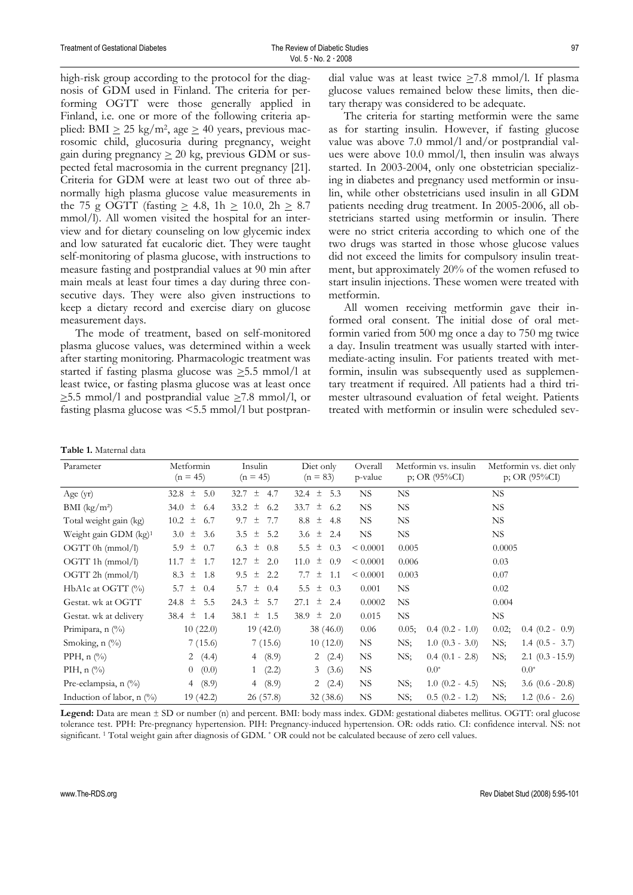high-risk group according to the protocol for the diagnosis of GDM used in Finland. The criteria for performing OGTT were those generally applied in Finland, i.e. one or more of the following criteria applied: BMI  $\geq$  25 kg/m<sup>2</sup>, age  $\geq$  40 years, previous macrosomic child, glucosuria during pregnancy, weight gain during pregnancy  $\geq 20$  kg, previous GDM or suspected fetal macrosomia in the current pregnancy [21]. Criteria for GDM were at least two out of three abnormally high plasma glucose value measurements in the 75 g OGTT (fasting  $\geq$  4.8, 1h  $\geq$  10.0, 2h  $\geq$  8.7 mmol/l). All women visited the hospital for an interview and for dietary counseling on low glycemic index and low saturated fat eucaloric diet. They were taught self-monitoring of plasma glucose, with instructions to measure fasting and postprandial values at 90 min after main meals at least four times a day during three consecutive days. They were also given instructions to keep a dietary record and exercise diary on glucose measurement days.

The mode of treatment, based on self-monitored plasma glucose values, was determined within a week after starting monitoring. Pharmacologic treatment was started if fasting plasma glucose was  $\geq$ 5.5 mmol/l at least twice, or fasting plasma glucose was at least once  $\geq$ 5.5 mmol/l and postprandial value  $\geq$ 7.8 mmol/l, or fasting plasma glucose was <5.5 mmol/l but postpran-

dial value was at least twice  $\geq 7.8$  mmol/l. If plasma glucose values remained below these limits, then dietary therapy was considered to be adequate.

The criteria for starting metformin were the same as for starting insulin. However, if fasting glucose value was above 7.0 mmol/l and/or postprandial values were above 10.0 mmol/l, then insulin was always started. In 2003-2004, only one obstetrician specializing in diabetes and pregnancy used metformin or insulin, while other obstetricians used insulin in all GDM patients needing drug treatment. In 2005-2006, all obstetricians started using metformin or insulin. There were no strict criteria according to which one of the two drugs was started in those whose glucose values did not exceed the limits for compulsory insulin treatment, but approximately 20% of the women refused to start insulin injections. These women were treated with metformin.

All women receiving metformin gave their informed oral consent. The initial dose of oral metformin varied from 500 mg once a day to 750 mg twice a day. Insulin treatment was usually started with intermediate-acting insulin. For patients treated with metformin, insulin was subsequently used as supplementary treatment if required. All patients had a third trimester ultrasound evaluation of fetal weight. Patients treated with metformin or insulin were scheduled sev-

| Parameter                                 | Metformin<br>$(n = 45)$ | Insulin<br>$(n = 45)$ | Diet only<br>$(n = 83)$ | Overall<br>p-value | Metformin vs. insulin<br>p; OR $(95\%CI)$ | Metformin vs. diet only<br>$p$ ; OR (95%CI) |  |
|-------------------------------------------|-------------------------|-----------------------|-------------------------|--------------------|-------------------------------------------|---------------------------------------------|--|
| Age $(yr)$                                | 32.8 $\pm$<br>5.0       | $32.7 \pm 4.7$        | $32.4 \pm 5.3$          | NS.                | <b>NS</b>                                 | NS.                                         |  |
| $BMI$ (kg/m <sup>2</sup> )                | 34.0 $\pm$<br>6.4       | 33.2 $\pm$ 6.2        | 土<br>33.7<br>6.2        | <b>NS</b>          | <b>NS</b>                                 | NS.                                         |  |
| Total weight gain (kg)                    | $10.2 \pm$<br>6.7       | 土<br>9.7<br>7.7       | $\pm$<br>8.8<br>4.8     | NS.                | <b>NS</b>                                 | NS.                                         |  |
| Weight gain GDM (kg) <sup>1</sup>         | 3.0 $\pm$<br>3.6        | 3.5 $\pm$<br>5.2      | 3.6 $\pm$<br>2.4        | <b>NS</b>          | NS.                                       | NS.                                         |  |
| $\overline{OGTT}$ 0h (mmol/l)             | 土<br>5.9<br>0.7         | 土<br>6.3<br>0.8       | 土<br>5.5<br>0.3         | < 0.0001           | 0.005                                     | 0.0005                                      |  |
| $\overline{\text{OGTT}}$ 1h (mmol/l)      | 11.7 $\pm$<br>1.7       | 12.7 $\pm$<br>2.0     | 11.0 $\pm$<br>0.9       | < 0.0001           | 0.006                                     | 0.03                                        |  |
| $\overline{\text{OGTT}}$ 2h (mmol/l)      | $8.3 \pm 1.8$           | $9.5 \pm 2.2$         | $\pm$<br>7.7<br>1.1     | < 0.0001           | 0.003                                     | 0.07                                        |  |
| HbA1c at OGTT $(\%)$                      | 5.7 $\pm$<br>0.4        | 5.7 $\pm$<br>0.4      | 土<br>5.5<br>0.3         | 0.001              | <b>NS</b>                                 | 0.02                                        |  |
| Gestat. wk at OGTT                        | 24.8 $\pm$<br>5.5       | $24.3 \pm 5.7$        | $27.1 \pm$<br>2.4       | 0.0002             | NS.                                       | 0.004                                       |  |
| Gestat. wk at delivery                    | 38.4 $\pm$<br>1.4       | 38.1 $\pm$ 1.5        | 38.9 $\pm$<br>2.0       | 0.015              | NS.                                       | NS.                                         |  |
| Primipara, $n$ $\left(\frac{0}{0}\right)$ | 10(22.0)                | 19(42.0)              | 38(46.0)                | 0.06               | 0.05;<br>$0.4$ $(0.2 - 1.0)$              | 0.02;<br>$0.4$ $(0.2 - 0.9)$                |  |
| Smoking, $n$ $\left(\frac{0}{0}\right)$   | 7(15.6)                 | 7(15.6)               | 10(12.0)                | NS.                | $1.0$ $(0.3 - 3.0)$<br>NS:                | NS;<br>$1.4$ (0.5 - 3.7)                    |  |
| PPH, $n$ $\left(\frac{0}{0}\right)$       | 2 $(4.4)$               | 4(8.9)                | 2(2.4)                  | NS                 | NS:<br>$0.4$ $(0.1 - 2.8)$                | NS;<br>$2.1$ $(0.3 - 15.9)$                 |  |
| PIH, $n$ $\left(\frac{0}{0}\right)$       | (0.0)<br>$\overline{0}$ | (2.2)<br>1            | (3.6)<br>3              | NS                 | $0.0*$                                    | $0.0^*$                                     |  |
| Pre-eclampsia, $n$ (%)                    | (8.9)<br>4              | (8.9)<br>4            | (2.4)<br>$\overline{2}$ | <b>NS</b>          | NS;<br>$1.0$ $(0.2 - 4.5)$                | NS:<br>$3.6$ $(0.6 - 20.8)$                 |  |
| Induction of labor, $n$ (%)               | 19 (42.2)               | 26(57.8)              | 32(38.6)                | <b>NS</b>          | NS;<br>$0.5$ $(0.2 - 1.2)$                | NS;<br>$1.2$ (0.6 - 2.6)                    |  |

Legend: Data are mean  $\pm$  SD or number (n) and percent. BMI: body mass index. GDM: gestational diabetes mellitus. OGTT: oral glucose tolerance test. PPH: Pre-pregnancy hypertension. PIH: Pregnancy-induced hypertension. OR: odds ratio. CI: confidence interval. NS: not significant. 1 Total weight gain after diagnosis of GDM. \* OR could not be calculated because of zero cell values.

**Table 1.** Maternal data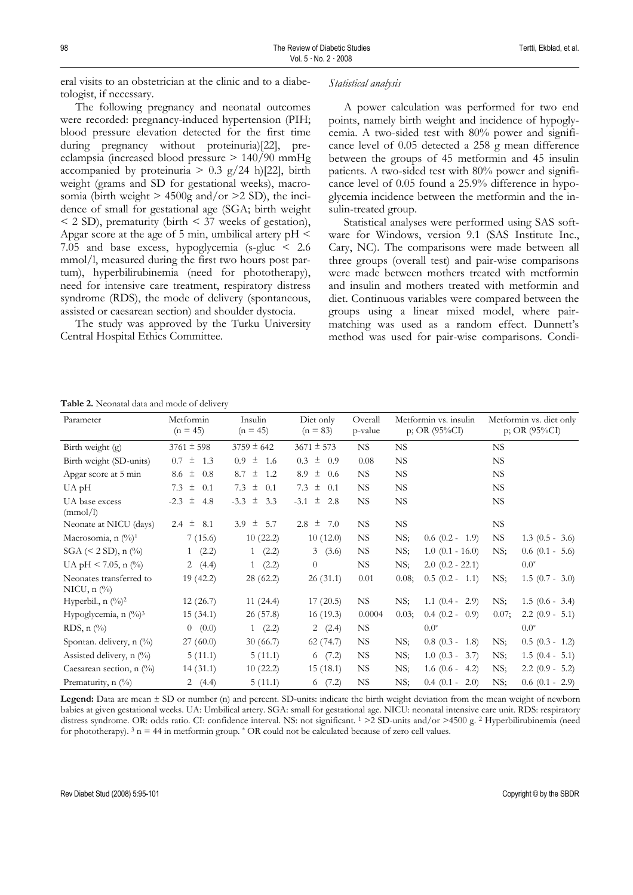eral visits to an obstetrician at the clinic and to a diabetologist, if necessary.

The following pregnancy and neonatal outcomes were recorded: pregnancy-induced hypertension (PIH; blood pressure elevation detected for the first time during pregnancy without proteinuria)[22], preeclampsia (increased blood pressure > 140/90 mmHg accompanied by proteinuria  $> 0.3$  g/24 h)[22], birth weight (grams and SD for gestational weeks), macrosomia (birth weight  $> 4500g$  and/or  $>2$  SD), the incidence of small for gestational age (SGA; birth weight < 2 SD), prematurity (birth < 37 weeks of gestation), Apgar score at the age of 5 min, umbilical artery  $pH \le$ 7.05 and base excess, hypoglycemia (s-gluc < 2.6 mmol/l, measured during the first two hours post partum), hyperbilirubinemia (need for phototherapy), need for intensive care treatment, respiratory distress syndrome (RDS), the mode of delivery (spontaneous, assisted or caesarean section) and shoulder dystocia.

The study was approved by the Turku University Central Hospital Ethics Committee.

#### *Statistical analysis*

A power calculation was performed for two end points, namely birth weight and incidence of hypoglycemia. A two-sided test with 80% power and significance level of 0.05 detected a 258 g mean difference between the groups of 45 metformin and 45 insulin patients. A two-sided test with 80% power and significance level of 0.05 found a 25.9% difference in hypoglycemia incidence between the metformin and the insulin-treated group.

Statistical analyses were performed using SAS software for Windows, version 9.1 (SAS Institute Inc., Cary, NC). The comparisons were made between all three groups (overall test) and pair-wise comparisons were made between mothers treated with metformin and insulin and mothers treated with metformin and diet. Continuous variables were compared between the groups using a linear mixed model, where pairmatching was used as a random effect. Dunnett's method was used for pair-wise comparisons. Condi-

| Table 2. Neonatal data and mode of delivery |  |  |  |  |
|---------------------------------------------|--|--|--|--|
|---------------------------------------------|--|--|--|--|

| Parameter                                           | Metformin<br>$(n = 45)$ | Insulin<br>$(n = 45)$ | Diet only<br>$(n = 83)$ | Overall<br>p-value | Metformin vs. insulin<br>$p$ ; OR (95%CI) |                      | Metformin vs. diet only<br>$p$ ; OR (95%CI) |                     |
|-----------------------------------------------------|-------------------------|-----------------------|-------------------------|--------------------|-------------------------------------------|----------------------|---------------------------------------------|---------------------|
| Birth weight (g)                                    | $3761 \pm 598$          | $3759 \pm 642$        | $3671 \pm 573$          | NS.                | <b>NS</b>                                 |                      | NS.                                         |                     |
| Birth weight (SD-units)                             | $0.7 \pm$<br>1.3        | $0.9 \pm$<br>1.6      | $0.3 \pm$<br>0.9        | 0.08               | <b>NS</b>                                 |                      | NS.                                         |                     |
| Apgar score at 5 min                                | 8.6 $\pm$<br>0.8        | 8.7 $\pm$<br>1.2      | 土<br>8.9<br>0.6         | <b>NS</b>          | <b>NS</b>                                 |                      | NS.                                         |                     |
| UA pH                                               | 7.3 $\pm$<br>0.1        | 7.3 $\pm$<br>0.1      | 7.3 $\pm$<br>0.1        | <b>NS</b>          | NS.                                       |                      | NS.                                         |                     |
| UA base excess<br>(mmol/l)                          | $-2.3 \pm$<br>4.8       | $-3.3 \pm 3.3$        | $-3.1 \pm 2.8$          | NS.                | NS.                                       |                      | NS.                                         |                     |
| Neonate at NICU (days)                              | 2.4 $\pm$<br>8.1        | 土<br>5.7<br>3.9       | $2.8 \pm$<br>7.0        | NS.                | NS                                        |                      | NS.                                         |                     |
| Macrosomia, n (%) <sup>1</sup>                      | 7(15.6)                 | 10(22.2)              | 10(12.0)                | NS.                | NS;                                       | $0.6$ $(0.2 - 1.9)$  | NS.                                         | $1.3(0.5 - 3.6)$    |
| $SGA \, (< 2 SD), n \, (*)$                         | 1 (2.2)                 | 1 (2.2)               | 3(3.6)                  | NS.                | NS;                                       | $1.0$ (0.1 - 16.0)   | NS;                                         | $0.6$ $(0.1 - 5.6)$ |
| UA pH < 7.05, n $\binom{0}{0}$                      | 2 $(4.4)$               | 1 (2.2)               | $\theta$                | NS.                | NS;                                       | $2.0$ $(0.2 - 22.1)$ |                                             | $0.0^*$             |
| Neonates transferred to<br>NICU, $n$ $\binom{0}{0}$ | 19(42.2)                | 28 (62.2)             | 26(31.1)                | 0.01               | 0.08;                                     | $0.5(0.2 - 1.1)$     | NS;                                         | $1.5(0.7 - 3.0)$    |
| Hyperbil., $n \binom{0}{0}^2$                       | 12(26.7)                | 11(24.4)              | 17(20.5)                | NS.                | NS;                                       | $1.1$ $(0.4 - 2.9)$  | NS;                                         | $1.5(0.6 - 3.4)$    |
| Hypoglycemia, $n \frac{(\frac{9}{6})^3}{2}$         | 15(34.1)                | 26(57.8)              | 16(19.3)                | 0.0004             | 0.03;                                     | $0.4$ $(0.2 - 0.9)$  | 0.07;                                       | $2.2$ (0.9 - 5.1)   |
| RDS, $n$ $\left(\frac{9}{0}\right)$                 | 0 (0.0)                 | 1(2.2)                | 2(2.4)                  | NS.                |                                           | $0.0^{*}$            |                                             | $0.0^{*}$           |
| Spontan. delivery, n (%)                            | 27(60.0)                | 30(66.7)              | 62(74.7)                | NS.                | NS;                                       | $0.8$ $(0.3 - 1.8)$  | NS;                                         | $0.5$ $(0.3 - 1.2)$ |
| Assisted delivery, n (%)                            | 5(11.1)                 | 5(11.1)               | 6(7.2)                  | NS.                | NS;                                       | $1.0$ $(0.3 - 3.7)$  | NS:                                         | $1.5(0.4 - 5.1)$    |
| Caesarean section, $n$ (%)                          | 14(31.1)                | 10(22.2)              | 15(18.1)                | <b>NS</b>          | NS;                                       | $1.6$ (0.6 - 4.2)    | NS;                                         | $2.2$ (0.9 - 5.2)   |
| Prematurity, n (%)                                  | 2 $(4.4)$               | 5(11.1)               | 6(7.2)                  | <b>NS</b>          | NS;                                       | $0.4$ $(0.1 - 2.0)$  | NS;                                         | $0.6(0.1 - 2.9)$    |

Legend: Data are mean  $\pm$  SD or number (n) and percent. SD-units: indicate the birth weight deviation from the mean weight of newborn babies at given gestational weeks. UA: Umbilical artery. SGA: small for gestational age. NICU: neonatal intensive care unit. RDS: respiratory distress syndrome. OR: odds ratio. CI: confidence interval. NS: not significant. <sup>1</sup> > 2 SD-units and/or >4500 g. <sup>2</sup> Hyperbilirubinemia (need for phototherapy).  $3 \text{ n} = 44$  in metformin group.  $^*$  OR could not be calculated because of zero cell values.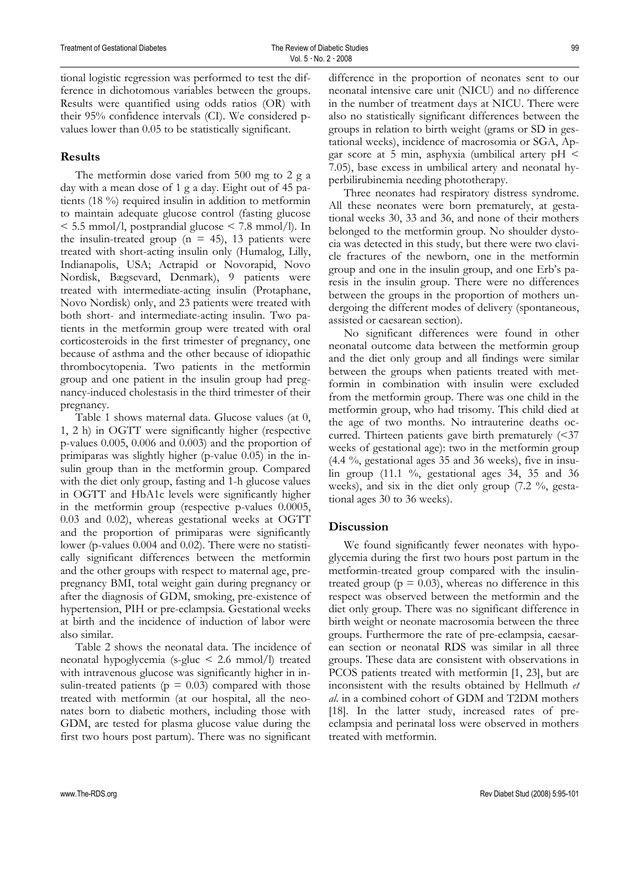tional logistic regression was performed to test the difference in dichotomous variables between the groups. Results were quantified using odds ratios (OR) with their 95% confidence intervals (CI). We considered pvalues lower than 0.05 to be statistically significant.

## **Results**

The metformin dose varied from 500 mg to 2 g a day with a mean dose of 1 g a day. Eight out of 45 patients (18 %) required insulin in addition to metformin to maintain adequate glucose control (fasting glucose < 5.5 mmol/l, postprandial glucose < 7.8 mmol/l). In the insulin-treated group ( $n = 45$ ), 13 patients were treated with short-acting insulin only (Humalog, Lilly, Indianapolis, USA; Actrapid or Novorapid, Novo Nordisk, Bægsevard, Denmark), 9 patients were treated with intermediate-acting insulin (Protaphane, Novo Nordisk) only, and 23 patients were treated with both short- and intermediate-acting insulin. Two patients in the metformin group were treated with oral corticosteroids in the first trimester of pregnancy, one because of asthma and the other because of idiopathic thrombocytopenia. Two patients in the metformin group and one patient in the insulin group had pregnancy-induced cholestasis in the third trimester of their pregnancy.

Table 1 shows maternal data. Glucose values (at 0, 1, 2 h) in OGTT were significantly higher (respective p-values 0.005, 0.006 and 0.003) and the proportion of primiparas was slightly higher (p-value 0.05) in the insulin group than in the metformin group. Compared with the diet only group, fasting and 1-h glucose values in OGTT and HbA1c levels were significantly higher in the metformin group (respective p-values 0.0005, 0.03 and 0.02), whereas gestational weeks at OGTT and the proportion of primiparas were significantly lower (p-values 0.004 and 0.02). There were no statistically significant differences between the metformin and the other groups with respect to maternal age, prepregnancy BMI, total weight gain during pregnancy or after the diagnosis of GDM, smoking, pre-existence of hypertension, PIH or pre-eclampsia. Gestational weeks at birth and the incidence of induction of labor were also similar.

Table 2 shows the neonatal data. The incidence of neonatal hypoglycemia (s-gluc < 2.6 mmol/l) treated with intravenous glucose was significantly higher in insulin-treated patients ( $p = 0.03$ ) compared with those treated with metformin (at our hospital, all the neonates born to diabetic mothers, including those with GDM, are tested for plasma glucose value during the first two hours post partum). There was no significant difference in the proportion of neonates sent to our neonatal intensive care unit (NICU) and no difference in the number of treatment days at NICU. There were also no statistically significant differences between the groups in relation to birth weight (grams or SD in gestational weeks), incidence of macrosomia or SGA, Apgar score at 5 min, asphyxia (umbilical artery  $pH \leq$ 7.05), base excess in umbilical artery and neonatal hyperbilirubinemia needing phototherapy.

Three neonates had respiratory distress syndrome. All these neonates were born prematurely, at gestational weeks 30, 33 and 36, and none of their mothers belonged to the metformin group. No shoulder dystocia was detected in this study, but there were two clavicle fractures of the newborn, one in the metformin group and one in the insulin group, and one Erb's paresis in the insulin group. There were no differences between the groups in the proportion of mothers undergoing the different modes of delivery (spontaneous, assisted or caesarean section).

No significant differences were found in other neonatal outcome data between the metformin group and the diet only group and all findings were similar between the groups when patients treated with metformin in combination with insulin were excluded from the metformin group. There was one child in the metformin group, who had trisomy. This child died at the age of two months. No intrauterine deaths occurred. Thirteen patients gave birth prematurely  $\approx 37$ weeks of gestational age): two in the metformin group  $(4.4 \%)$ , gestational ages 35 and 36 weeks), five in insulin group  $(11.1 \degree\%$ , gestational ages 34, 35 and 36 weeks), and six in the diet only group (7.2 %, gestational ages 30 to 36 weeks).

## **Discussion**

We found significantly fewer neonates with hypoglycemia during the first two hours post partum in the metformin-treated group compared with the insulintreated group ( $p = 0.03$ ), whereas no difference in this respect was observed between the metformin and the diet only group. There was no significant difference in birth weight or neonate macrosomia between the three groups. Furthermore the rate of pre-eclampsia, caesarean section or neonatal RDS was similar in all three groups. These data are consistent with observations in PCOS patients treated with metformin [1, 23], but are inconsistent with the results obtained by Hellmuth *et al*. in a combined cohort of GDM and T2DM mothers [18]. In the latter study, increased rates of preeclampsia and perinatal loss were observed in mothers treated with metformin.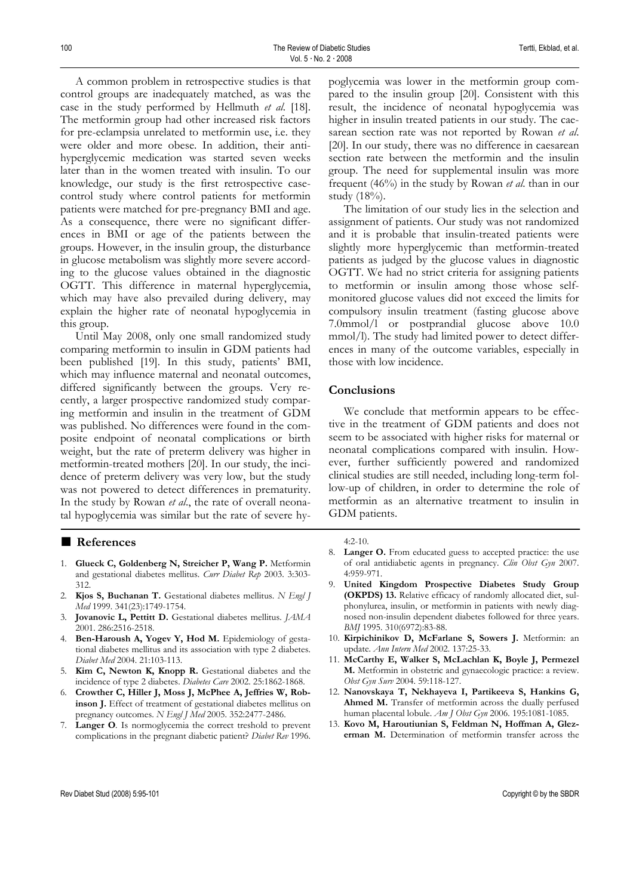A common problem in retrospective studies is that control groups are inadequately matched, as was the case in the study performed by Hellmuth *et al*. [18]. The metformin group had other increased risk factors for pre-eclampsia unrelated to metformin use, i.e. they were older and more obese. In addition, their antihyperglycemic medication was started seven weeks later than in the women treated with insulin. To our knowledge, our study is the first retrospective casecontrol study where control patients for metformin patients were matched for pre-pregnancy BMI and age. As a consequence, there were no significant differences in BMI or age of the patients between the groups. However, in the insulin group, the disturbance in glucose metabolism was slightly more severe according to the glucose values obtained in the diagnostic OGTT. This difference in maternal hyperglycemia, which may have also prevailed during delivery, may explain the higher rate of neonatal hypoglycemia in this group.

Until May 2008, only one small randomized study comparing metformin to insulin in GDM patients had been published [19]. In this study, patients' BMI, which may influence maternal and neonatal outcomes, differed significantly between the groups. Very recently, a larger prospective randomized study comparing metformin and insulin in the treatment of GDM was published. No differences were found in the composite endpoint of neonatal complications or birth weight, but the rate of preterm delivery was higher in metformin-treated mothers [20]. In our study, the incidence of preterm delivery was very low, but the study was not powered to detect differences in prematurity. In the study by Rowan *et al*., the rate of overall neonatal hypoglycemia was similar but the rate of severe hy-

#### ■ **References**

- 1. **Glueck C, Goldenberg N, Streicher P, Wang P.** Metformin and gestational diabetes mellitus. *Curr Diabet Rep* 2003. 3:303- 312.
- 2. **Kjos S, Buchanan T.** Gestational diabetes mellitus. *N Engl J Med* 1999. 341(23):1749-1754.
- 3. **Jovanovic L, Pettitt D.** Gestational diabetes mellitus. *JAMA* 2001. 286:2516-2518.
- 4. **Ben-Haroush A, Yogev Y, Hod M.** Epidemiology of gestational diabetes mellitus and its association with type 2 diabetes. *Diabet Med* 2004. 21:103-113.
- 5. **Kim C, Newton K, Knopp R.** Gestational diabetes and the incidence of type 2 diabetes. *Diabetes Care* 2002. 25:1862-1868.
- 6. **Crowther C, Hiller J, Moss J, McPhee A, Jeffries W, Robinson J.** Effect of treatment of gestational diabetes mellitus on pregnancy outcomes. *N Engl J Med* 2005. 352:2477-2486.
- 7. **Langer O***.* Is normoglycemia the correct treshold to prevent complications in the pregnant diabetic patient? *Diabet Rev* 1996.

poglycemia was lower in the metformin group compared to the insulin group [20]. Consistent with this result, the incidence of neonatal hypoglycemia was higher in insulin treated patients in our study. The caesarean section rate was not reported by Rowan *et al*. [20]. In our study, there was no difference in caesarean section rate between the metformin and the insulin group. The need for supplemental insulin was more frequent (46%) in the study by Rowan *et al*. than in our study (18%).

The limitation of our study lies in the selection and assignment of patients. Our study was not randomized and it is probable that insulin-treated patients were slightly more hyperglycemic than metformin-treated patients as judged by the glucose values in diagnostic OGTT. We had no strict criteria for assigning patients to metformin or insulin among those whose selfmonitored glucose values did not exceed the limits for compulsory insulin treatment (fasting glucose above 7.0mmol/l or postprandial glucose above 10.0 mmol/l). The study had limited power to detect differences in many of the outcome variables, especially in those with low incidence.

## **Conclusions**

We conclude that metformin appears to be effective in the treatment of GDM patients and does not seem to be associated with higher risks for maternal or neonatal complications compared with insulin. However, further sufficiently powered and randomized clinical studies are still needed, including long-term follow-up of children, in order to determine the role of metformin as an alternative treatment to insulin in GDM patients.

#### 4:2-10.

- 8. **Langer O.** From educated guess to accepted practice: the use of oral antidiabetic agents in pregnancy. *Clin Obst Gyn* 2007. 4:959-971.
- 9. **United Kingdom Prospective Diabetes Study Group (OKPDS) 13.** Relative efficacy of randomly allocated diet, sulphonylurea, insulin, or metformin in patients with newly diagnosed non-insulin dependent diabetes followed for three years. *BMJ* 1995. 310(6972):83-88.
- 10. **Kirpichinikov D, McFarlane S, Sowers J.** Metformin: an update. *Ann Intern Med* 2002. 137:25-33.
- 11. **McCarthy E, Walker S, McLachlan K, Boyle J, Permezel M.** Metformin in obstetric and gynaecologic practice: a review. *Obst Gyn Surv* 2004. 59:118-127.
- 12. **Nanovskaya T, Nekhayeva I, Partikeeva S, Hankins G,**  Ahmed M. Transfer of metformin across the dually perfused human placental lobule. *Am J Obst Gyn* 2006. 195:1081-1085.
- 13. **Kovo M, Haroutiunian S, Feldman N, Hoffman A, Glezerman M.** Determination of metformin transfer across the